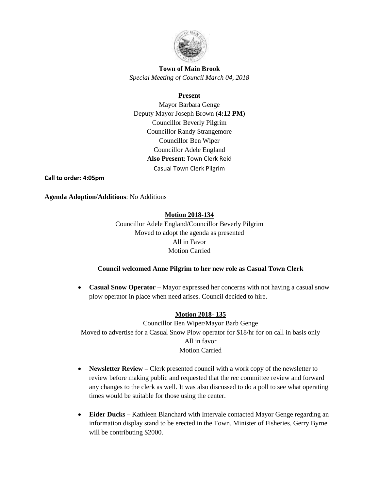

# **Town of Main Brook** *Special Meeting of Council March 04, 2018*

## **Present**

Mayor Barbara Genge Deputy Mayor Joseph Brown (**4:12 PM**) Councillor Beverly Pilgrim Councillor Randy Strangemore Councillor Ben Wiper Councillor Adele England **Also Present**: Town Clerk Reid Casual Town Clerk Pilgrim

**Call to order: 4:05pm**

**Agenda Adoption/Additions**: No Additions

**Motion 2018-134**

Councillor Adele England/Councillor Beverly Pilgrim Moved to adopt the agenda as presented All in Favor Motion Carried

## **Council welcomed Anne Pilgrim to her new role as Casual Town Clerk**

• **Casual Snow Operator** – Mayor expressed her concerns with not having a casual snow plow operator in place when need arises. Council decided to hire.

# **Motion 2018- 135**

Councillor Ben Wiper/Mayor Barb Genge Moved to advertise for a Casual Snow Plow operator for \$18/hr for on call in basis only All in favor Motion Carried

- **Newsletter Review** Clerk presented council with a work copy of the newsletter to review before making public and requested that the rec committee review and forward any changes to the clerk as well. It was also discussed to do a poll to see what operating times would be suitable for those using the center.
- **Eider Ducks –** Kathleen Blanchard with Intervale contacted Mayor Genge regarding an information display stand to be erected in the Town. Minister of Fisheries, Gerry Byrne will be contributing \$2000.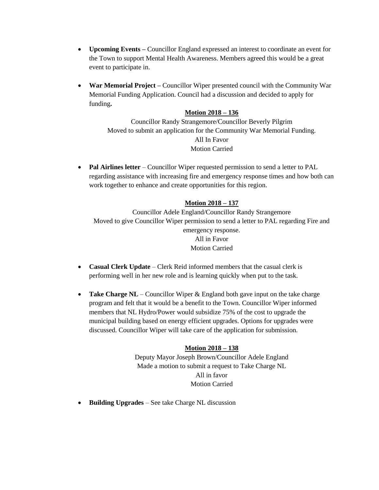- **Upcoming Events –** Councillor England expressed an interest to coordinate an event for the Town to support Mental Health Awareness. Members agreed this would be a great event to participate in.
- **War Memorial Project –** Councillor Wiper presented council with the Community War Memorial Funding Application. Council had a discussion and decided to apply for funding**.**

## **Motion 2018 – 136**

Councillor Randy Strangemore/Councillor Beverly Pilgrim Moved to submit an application for the Community War Memorial Funding. All In Favor Motion Carried

• **Pal Airlines letter** – Councillor Wiper requested permission to send a letter to PAL regarding assistance with increasing fire and emergency response times and how both can work together to enhance and create opportunities for this region.

## **Motion 2018 – 137**

Councillor Adele England/Councillor Randy Strangemore Moved to give Councillor Wiper permission to send a letter to PAL regarding Fire and emergency response. All in Favor Motion Carried

- **Casual Clerk Update** Clerk Reid informed members that the casual clerk is performing well in her new role and is learning quickly when put to the task.
- **Take Charge NL** Councillor Wiper & England both gave input on the take charge program and felt that it would be a benefit to the Town. Councillor Wiper informed members that NL Hydro/Power would subsidize 75% of the cost to upgrade the municipal building based on energy efficient upgrades. Options for upgrades were discussed. Councillor Wiper will take care of the application for submission.

## **Motion 2018 – 138**

Deputy Mayor Joseph Brown/Councillor Adele England Made a motion to submit a request to Take Charge NL All in favor Motion Carried

• **Building Upgrades** – See take Charge NL discussion